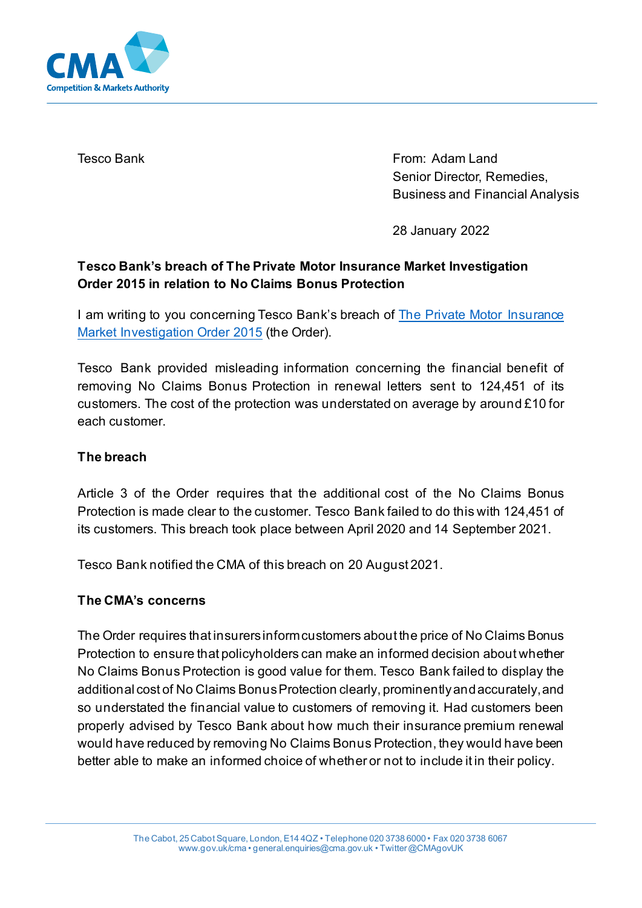

Tesco Bank From: Adam Land Senior Director, Remedies, Business and Financial Analysis

28 January 2022

# **Tesco Bank's breach of The Private Motor Insurance Market Investigation Order 2015 in relation to No Claims Bonus Protection**

I am writing to you concerning Tesco Bank's breach of **The Private Motor Insurance** [Market Investigation Order 2015](https://www.gov.uk/government/publications/private-motor-insurance-market-investigation-order-2015) (the Order).

Tesco Bank provided misleading information concerning the financial benefit of removing No Claims Bonus Protection in renewal letters sent to 124,451 of its customers. The cost of the protection was understated on average by around £10 for each customer.

## **The breach**

Article 3 of the Order requires that the additional cost of the No Claims Bonus Protection is made clear to the customer. Tesco Bank failed to do this with 124,451 of its customers. This breach took place between April 2020 and 14 September 2021.

Tesco Bank notified the CMA of this breach on 20 August 2021.

## **The CMA's concerns**

The Order requires that insurers inform customers about the price of No Claims Bonus Protection to ensure that policyholders can make an informed decision about whether No Claims Bonus Protection is good value for them. Tesco Bank failed to display the additional cost of No Claims Bonus Protection clearly, prominentlyand accurately, and so understated the financial value to customers of removing it. Had customers been properly advised by Tesco Bank about how much their insurance premium renewal would have reduced by removing No Claims Bonus Protection, they would have been better able to make an informed choice of whether or not to include it in their policy.